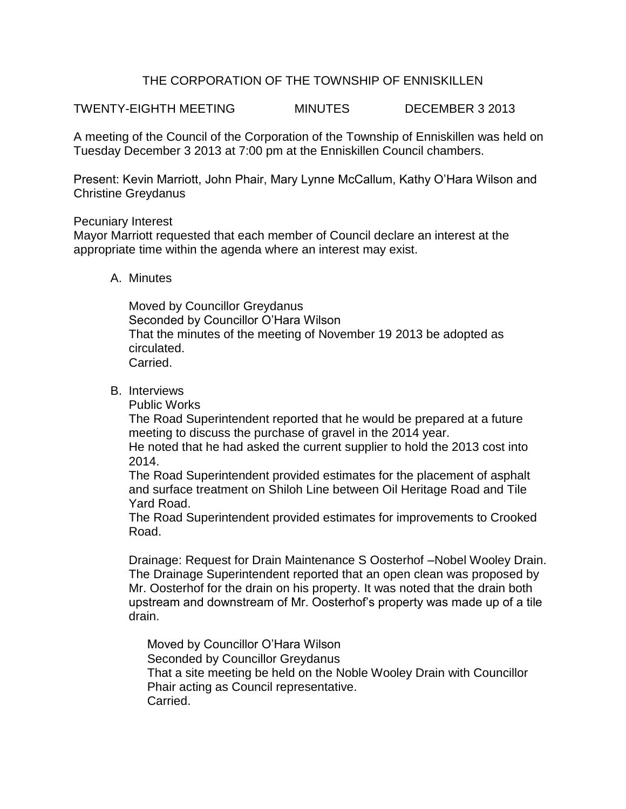# THE CORPORATION OF THE TOWNSHIP OF ENNISKILLEN

TWENTY-EIGHTH MEETING MINUTES DECEMBER 3 2013

A meeting of the Council of the Corporation of the Township of Enniskillen was held on Tuesday December 3 2013 at 7:00 pm at the Enniskillen Council chambers.

Present: Kevin Marriott, John Phair, Mary Lynne McCallum, Kathy O'Hara Wilson and Christine Greydanus

### Pecuniary Interest

Mayor Marriott requested that each member of Council declare an interest at the appropriate time within the agenda where an interest may exist.

### A. Minutes

Moved by Councillor Greydanus Seconded by Councillor O'Hara Wilson That the minutes of the meeting of November 19 2013 be adopted as circulated. Carried.

### B. Interviews

Public Works

The Road Superintendent reported that he would be prepared at a future meeting to discuss the purchase of gravel in the 2014 year.

He noted that he had asked the current supplier to hold the 2013 cost into 2014.

The Road Superintendent provided estimates for the placement of asphalt and surface treatment on Shiloh Line between Oil Heritage Road and Tile Yard Road.

The Road Superintendent provided estimates for improvements to Crooked Road.

Drainage: Request for Drain Maintenance S Oosterhof –Nobel Wooley Drain. The Drainage Superintendent reported that an open clean was proposed by Mr. Oosterhof for the drain on his property. It was noted that the drain both upstream and downstream of Mr. Oosterhof's property was made up of a tile drain.

Moved by Councillor O'Hara Wilson Seconded by Councillor Greydanus That a site meeting be held on the Noble Wooley Drain with Councillor Phair acting as Council representative. Carried.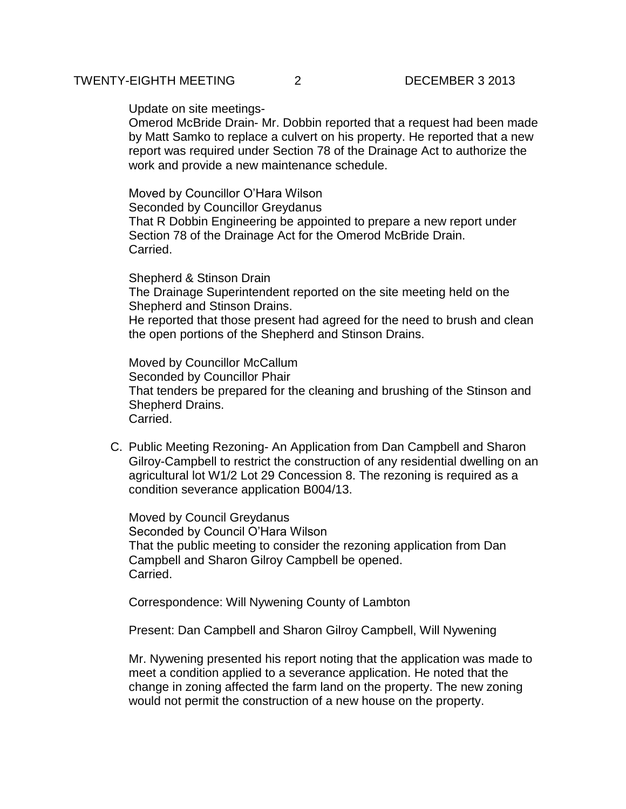Update on site meetings-

Omerod McBride Drain- Mr. Dobbin reported that a request had been made by Matt Samko to replace a culvert on his property. He reported that a new report was required under Section 78 of the Drainage Act to authorize the work and provide a new maintenance schedule.

Moved by Councillor O'Hara Wilson Seconded by Councillor Greydanus That R Dobbin Engineering be appointed to prepare a new report under Section 78 of the Drainage Act for the Omerod McBride Drain. Carried.

Shepherd & Stinson Drain The Drainage Superintendent reported on the site meeting held on the Shepherd and Stinson Drains.

He reported that those present had agreed for the need to brush and clean the open portions of the Shepherd and Stinson Drains.

Moved by Councillor McCallum Seconded by Councillor Phair That tenders be prepared for the cleaning and brushing of the Stinson and Shepherd Drains. Carried.

C. Public Meeting Rezoning- An Application from Dan Campbell and Sharon Gilroy-Campbell to restrict the construction of any residential dwelling on an agricultural lot W1/2 Lot 29 Concession 8. The rezoning is required as a condition severance application B004/13.

Moved by Council Greydanus Seconded by Council O'Hara Wilson That the public meeting to consider the rezoning application from Dan Campbell and Sharon Gilroy Campbell be opened. Carried.

Correspondence: Will Nywening County of Lambton

Present: Dan Campbell and Sharon Gilroy Campbell, Will Nywening

Mr. Nywening presented his report noting that the application was made to meet a condition applied to a severance application. He noted that the change in zoning affected the farm land on the property. The new zoning would not permit the construction of a new house on the property.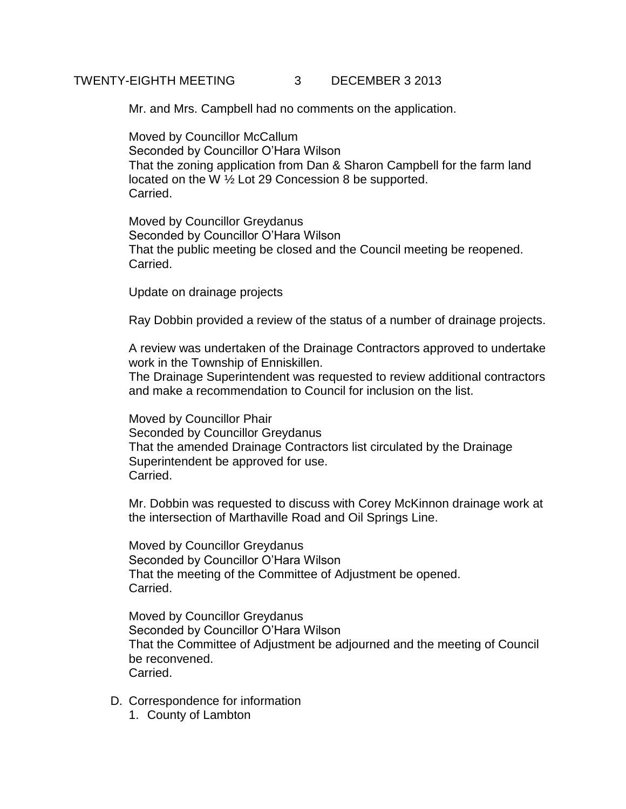# TWENTY-EIGHTH MEETING 3 DECEMBER 3 2013

Mr. and Mrs. Campbell had no comments on the application.

Moved by Councillor McCallum Seconded by Councillor O'Hara Wilson That the zoning application from Dan & Sharon Campbell for the farm land located on the W ½ Lot 29 Concession 8 be supported. Carried.

Moved by Councillor Greydanus Seconded by Councillor O'Hara Wilson That the public meeting be closed and the Council meeting be reopened. Carried.

Update on drainage projects

Ray Dobbin provided a review of the status of a number of drainage projects.

A review was undertaken of the Drainage Contractors approved to undertake work in the Township of Enniskillen.

The Drainage Superintendent was requested to review additional contractors and make a recommendation to Council for inclusion on the list.

Moved by Councillor Phair Seconded by Councillor Greydanus That the amended Drainage Contractors list circulated by the Drainage Superintendent be approved for use. Carried.

Mr. Dobbin was requested to discuss with Corey McKinnon drainage work at the intersection of Marthaville Road and Oil Springs Line.

Moved by Councillor Greydanus Seconded by Councillor O'Hara Wilson That the meeting of the Committee of Adjustment be opened. Carried.

Moved by Councillor Greydanus Seconded by Councillor O'Hara Wilson That the Committee of Adjustment be adjourned and the meeting of Council be reconvened. Carried.

- D. Correspondence for information
	- 1. County of Lambton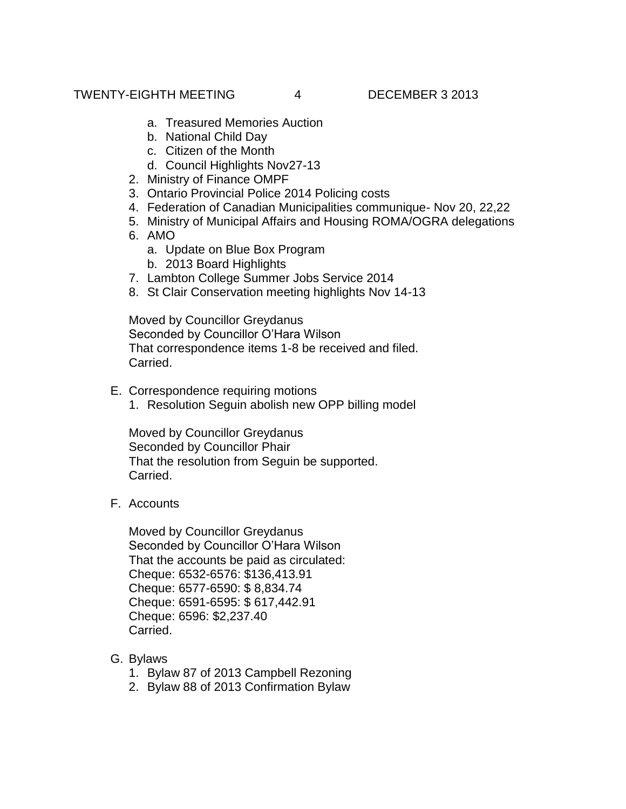- a. Treasured Memories Auction
- b. National Child Day
- c. Citizen of the Month
- d. Council Highlights Nov27-13
- 2. Ministry of Finance OMPF
- 3. Ontario Provincial Police 2014 Policing costs
- 4. Federation of Canadian Municipalities communique- Nov 20, 22,22
- 5. Ministry of Municipal Affairs and Housing ROMA/OGRA delegations
- 6. AMO
	- a. Update on Blue Box Program
	- b. 2013 Board Highlights
- 7. Lambton College Summer Jobs Service 2014
- 8. St Clair Conservation meeting highlights Nov 14-13

Moved by Councillor Greydanus Seconded by Councillor O'Hara Wilson That correspondence items 1-8 be received and filed. Carried.

- E. Correspondence requiring motions
	- 1. Resolution Seguin abolish new OPP billing model

Moved by Councillor Greydanus Seconded by Councillor Phair That the resolution from Seguin be supported. Carried.

F. Accounts

Moved by Councillor Greydanus Seconded by Councillor O'Hara Wilson That the accounts be paid as circulated: Cheque: 6532-6576: \$136,413.91 Cheque: 6577-6590: \$ 8,834.74 Cheque: 6591-6595: \$ 617,442.91 Cheque: 6596: \$2,237.40 Carried.

- G. Bylaws
	- 1. Bylaw 87 of 2013 Campbell Rezoning
	- 2. Bylaw 88 of 2013 Confirmation Bylaw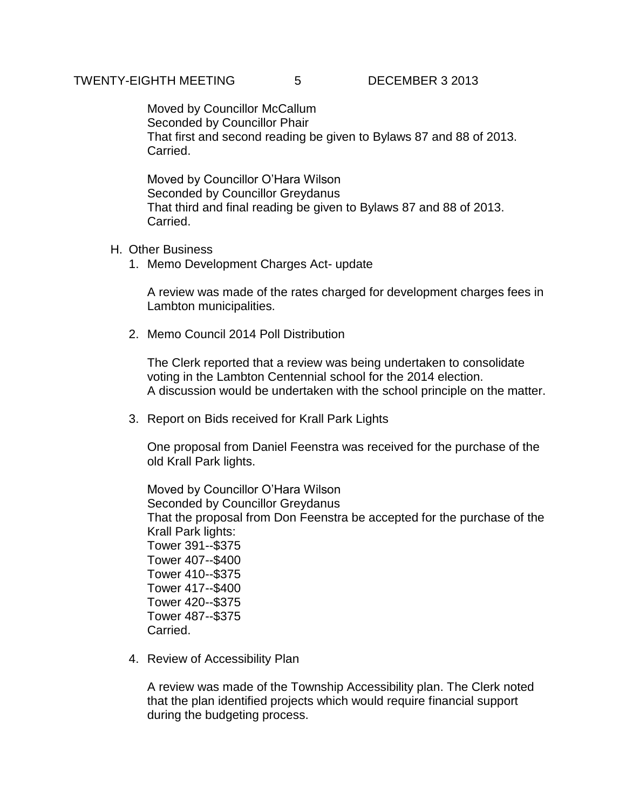Moved by Councillor McCallum Seconded by Councillor Phair That first and second reading be given to Bylaws 87 and 88 of 2013. Carried.

Moved by Councillor O'Hara Wilson Seconded by Councillor Greydanus That third and final reading be given to Bylaws 87 and 88 of 2013. Carried.

#### H. Other Business

1. Memo Development Charges Act- update

A review was made of the rates charged for development charges fees in Lambton municipalities.

2. Memo Council 2014 Poll Distribution

The Clerk reported that a review was being undertaken to consolidate voting in the Lambton Centennial school for the 2014 election. A discussion would be undertaken with the school principle on the matter.

3. Report on Bids received for Krall Park Lights

One proposal from Daniel Feenstra was received for the purchase of the old Krall Park lights.

Moved by Councillor O'Hara Wilson Seconded by Councillor Greydanus That the proposal from Don Feenstra be accepted for the purchase of the Krall Park lights: Tower 391--\$375 Tower 407--\$400 Tower 410--\$375 Tower 417--\$400 Tower 420--\$375 Tower 487--\$375 Carried.

4. Review of Accessibility Plan

A review was made of the Township Accessibility plan. The Clerk noted that the plan identified projects which would require financial support during the budgeting process.